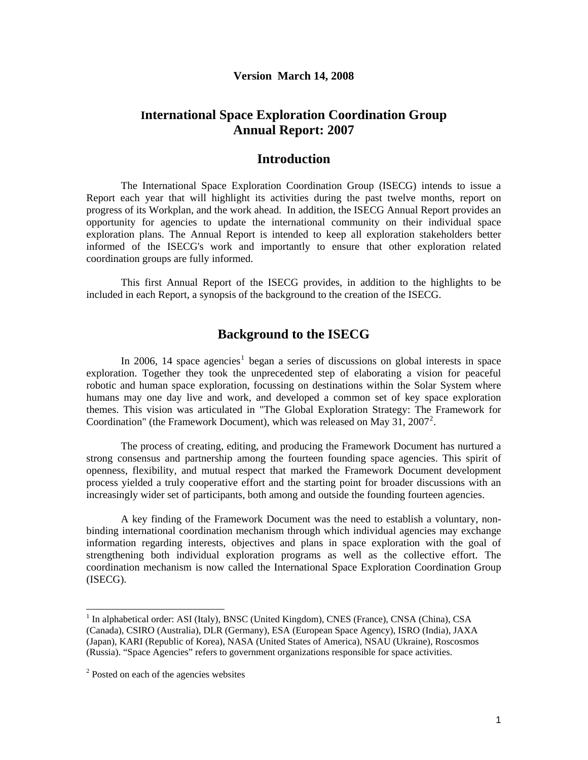#### **Version March 14, 2008**

# **International Space Exploration Coordination Group Annual Report: 2007**

## **Introduction**

The International Space Exploration Coordination Group (ISECG) intends to issue a Report each year that will highlight its activities during the past twelve months, report on progress of its Workplan, and the work ahead. In addition, the ISECG Annual Report provides an opportunity for agencies to update the international community on their individual space exploration plans. The Annual Report is intended to keep all exploration stakeholders better informed of the ISECG's work and importantly to ensure that other exploration related coordination groups are fully informed.

This first Annual Report of the ISECG provides, in addition to the highlights to be included in each Report, a synopsis of the background to the creation of the ISECG.

# **Background to the ISECG**

In 2006, [1](#page-0-0)4 space agencies<sup>1</sup> began a series of discussions on global interests in space exploration. Together they took the unprecedented step of elaborating a vision for peaceful robotic and human space exploration, focussing on destinations within the Solar System where humans may one day live and work, and developed a common set of key space exploration themes. This vision was articulated in "The Global Exploration Strategy: The Framework for Coordination" (the Framework Document), which was released on May 31, [2](#page-0-1)007<sup>2</sup>.

 The process of creating, editing, and producing the Framework Document has nurtured a strong consensus and partnership among the fourteen founding space agencies. This spirit of openness, flexibility, and mutual respect that marked the Framework Document development process yielded a truly cooperative effort and the starting point for broader discussions with an increasingly wider set of participants, both among and outside the founding fourteen agencies.

A key finding of the Framework Document was the need to establish a voluntary, nonbinding international coordination mechanism through which individual agencies may exchange information regarding interests, objectives and plans in space exploration with the goal of strengthening both individual exploration programs as well as the collective effort. The coordination mechanism is now called the International Space Exploration Coordination Group (ISECG).

l

<span id="page-0-0"></span><sup>&</sup>lt;sup>1</sup> In alphabetical order: ASI (Italy), BNSC (United Kingdom), CNES (France), CNSA (China), CSA (Canada), CSIRO (Australia), DLR (Germany), ESA (European Space Agency), ISRO (India), JAXA (Japan), KARI (Republic of Korea), NASA (United States of America), NSAU (Ukraine), Roscosmos (Russia). "Space Agencies" refers to government organizations responsible for space activities.

<span id="page-0-1"></span><sup>&</sup>lt;sup>2</sup> Posted on each of the agencies websites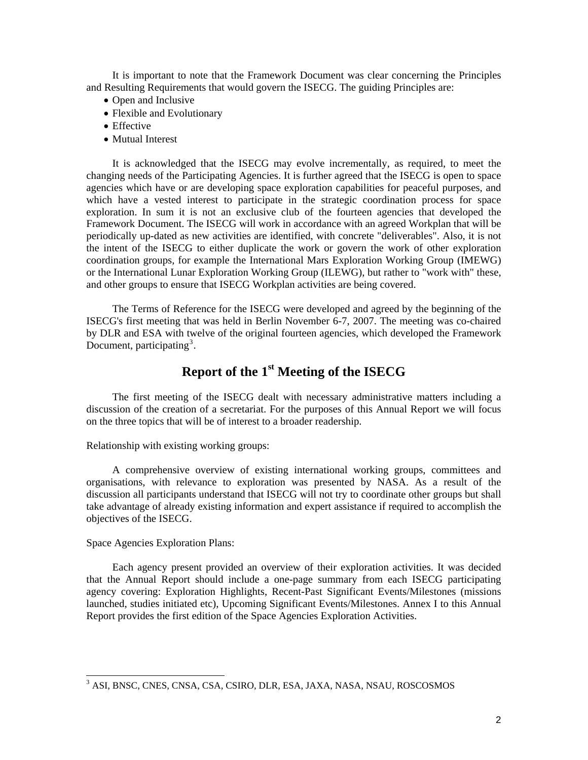It is important to note that the Framework Document was clear concerning the Principles and Resulting Requirements that would govern the ISECG. The guiding Principles are:

- Open and Inclusive
- Flexible and Evolutionary
- Effective
- Mutual Interest

 It is acknowledged that the ISECG may evolve incrementally, as required, to meet the changing needs of the Participating Agencies. It is further agreed that the ISECG is open to space agencies which have or are developing space exploration capabilities for peaceful purposes, and which have a vested interest to participate in the strategic coordination process for space exploration. In sum it is not an exclusive club of the fourteen agencies that developed the Framework Document. The ISECG will work in accordance with an agreed Workplan that will be periodically up-dated as new activities are identified, with concrete "deliverables". Also, it is not the intent of the ISECG to either duplicate the work or govern the work of other exploration coordination groups, for example the International Mars Exploration Working Group (IMEWG) or the International Lunar Exploration Working Group (ILEWG), but rather to "work with" these, and other groups to ensure that ISECG Workplan activities are being covered.

 The Terms of Reference for the ISECG were developed and agreed by the beginning of the ISECG's first meeting that was held in Berlin November 6-7, 2007. The meeting was co-chaired by DLR and ESA with twelve of the original fourteen agencies, which developed the Framework Document, participating<sup>[3](#page-1-0)</sup>.

# **Report of the 1st Meeting of the ISECG**

 The first meeting of the ISECG dealt with necessary administrative matters including a discussion of the creation of a secretariat. For the purposes of this Annual Report we will focus on the three topics that will be of interest to a broader readership.

### Relationship with existing working groups:

 A comprehensive overview of existing international working groups, committees and organisations, with relevance to exploration was presented by NASA. As a result of the discussion all participants understand that ISECG will not try to coordinate other groups but shall take advantage of already existing information and expert assistance if required to accomplish the objectives of the ISECG.

#### Space Agencies Exploration Plans:

l

 Each agency present provided an overview of their exploration activities. It was decided that the Annual Report should include a one-page summary from each ISECG participating agency covering: Exploration Highlights, Recent-Past Significant Events/Milestones (missions launched, studies initiated etc), Upcoming Significant Events/Milestones. Annex I to this Annual Report provides the first edition of the Space Agencies Exploration Activities.

<span id="page-1-0"></span><sup>3</sup> ASI, BNSC, CNES, CNSA, CSA, CSIRO, DLR, ESA, JAXA, NASA, NSAU, ROSCOSMOS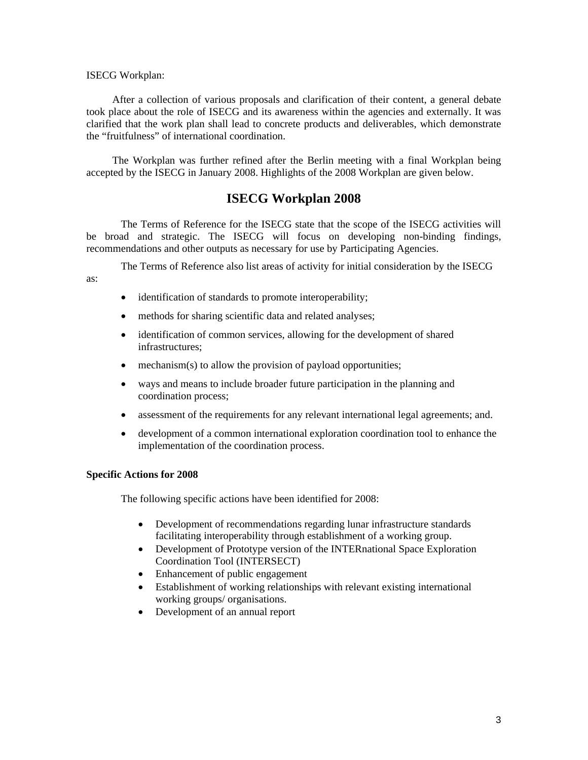#### ISECG Workplan:

 After a collection of various proposals and clarification of their content, a general debate took place about the role of ISECG and its awareness within the agencies and externally. It was clarified that the work plan shall lead to concrete products and deliverables, which demonstrate the "fruitfulness" of international coordination.

 The Workplan was further refined after the Berlin meeting with a final Workplan being accepted by the ISECG in January 2008. Highlights of the 2008 Workplan are given below.

# **ISECG Workplan 2008**

The Terms of Reference for the ISECG state that the scope of the ISECG activities will be broad and strategic. The ISECG will focus on developing non-binding findings, recommendations and other outputs as necessary for use by Participating Agencies.

The Terms of Reference also list areas of activity for initial consideration by the ISECG

as:

- identification of standards to promote interoperability;
- methods for sharing scientific data and related analyses;
- identification of common services, allowing for the development of shared infrastructures;
- mechanism(s) to allow the provision of payload opportunities;
- ways and means to include broader future participation in the planning and coordination process;
- assessment of the requirements for any relevant international legal agreements; and.
- development of a common international exploration coordination tool to enhance the implementation of the coordination process.

## **Specific Actions for 2008**

The following specific actions have been identified for 2008:

- Development of recommendations regarding lunar infrastructure standards facilitating interoperability through establishment of a working group.
- Development of Prototype version of the INTERnational Space Exploration Coordination Tool (INTERSECT)
- Enhancement of public engagement
- Establishment of working relationships with relevant existing international working groups/ organisations.
- Development of an annual report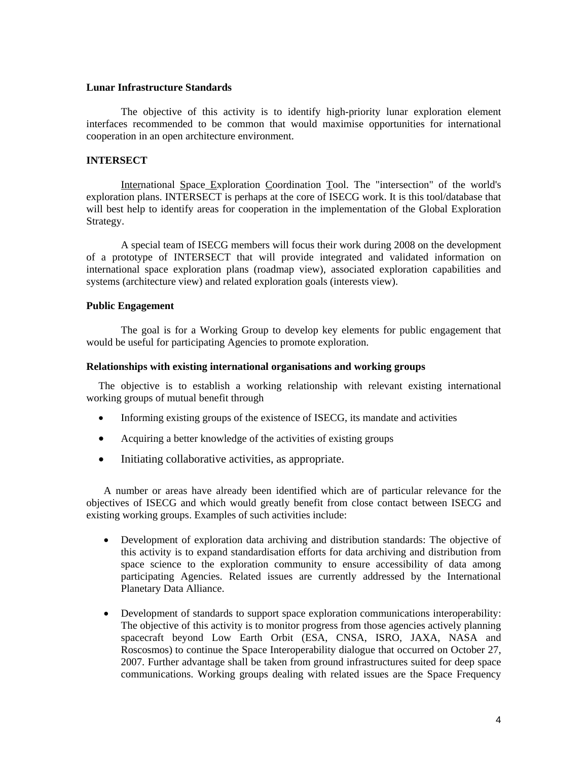## **Lunar Infrastructure Standards**

The objective of this activity is to identify high-priority lunar exploration element interfaces recommended to be common that would maximise opportunities for international cooperation in an open architecture environment.

## **INTERSECT**

International Space Exploration Coordination Tool. The "intersection" of the world's exploration plans. INTERSECT is perhaps at the core of ISECG work. It is this tool/database that will best help to identify areas for cooperation in the implementation of the Global Exploration Strategy.

A special team of ISECG members will focus their work during 2008 on the development of a prototype of INTERSECT that will provide integrated and validated information on international space exploration plans (roadmap view), associated exploration capabilities and systems (architecture view) and related exploration goals (interests view).

### **Public Engagement**

The goal is for a Working Group to develop key elements for public engagement that would be useful for participating Agencies to promote exploration.

#### **Relationships with existing international organisations and working groups**

The objective is to establish a working relationship with relevant existing international working groups of mutual benefit through

- Informing existing groups of the existence of ISECG, its mandate and activities
- Acquiring a better knowledge of the activities of existing groups
- Initiating collaborative activities, as appropriate.

A number or areas have already been identified which are of particular relevance for the objectives of ISECG and which would greatly benefit from close contact between ISECG and existing working groups. Examples of such activities include:

- Development of exploration data archiving and distribution standards: The objective of this activity is to expand standardisation efforts for data archiving and distribution from space science to the exploration community to ensure accessibility of data among participating Agencies. Related issues are currently addressed by the International Planetary Data Alliance.
- Development of standards to support space exploration communications interoperability: The objective of this activity is to monitor progress from those agencies actively planning spacecraft beyond Low Earth Orbit (ESA, CNSA, ISRO, JAXA, NASA and Roscosmos) to continue the Space Interoperability dialogue that occurred on October 27, 2007. Further advantage shall be taken from ground infrastructures suited for deep space communications. Working groups dealing with related issues are the Space Frequency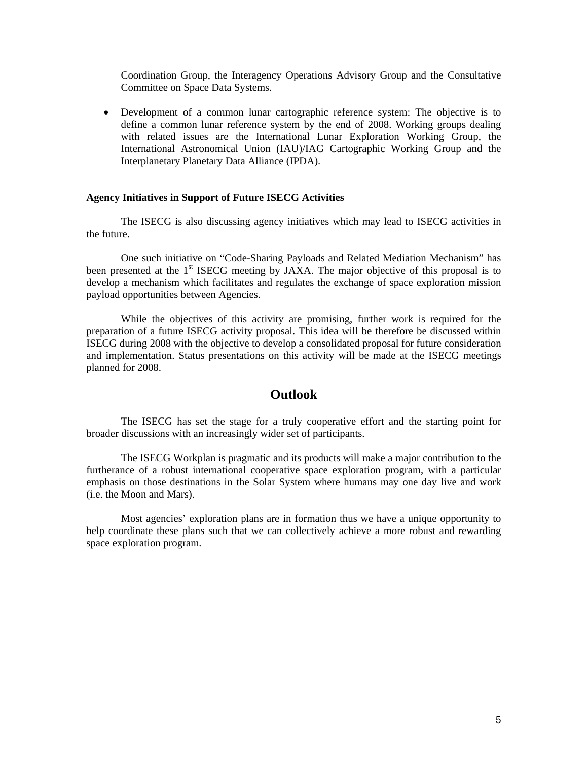Coordination Group, the Interagency Operations Advisory Group and the Consultative Committee on Space Data Systems.

• Development of a common lunar cartographic reference system: The objective is to define a common lunar reference system by the end of 2008. Working groups dealing with related issues are the International Lunar Exploration Working Group, the International Astronomical Union (IAU)/IAG Cartographic Working Group and the Interplanetary Planetary Data Alliance (IPDA).

#### **Agency Initiatives in Support of Future ISECG Activities**

The ISECG is also discussing agency initiatives which may lead to ISECG activities in the future.

One such initiative on "Code-Sharing Payloads and Related Mediation Mechanism" has been presented at the  $1<sup>st</sup>$  ISECG meeting by JAXA. The major objective of this proposal is to develop a mechanism which facilitates and regulates the exchange of space exploration mission payload opportunities between Agencies.

While the objectives of this activity are promising, further work is required for the preparation of a future ISECG activity proposal. This idea will be therefore be discussed within ISECG during 2008 with the objective to develop a consolidated proposal for future consideration and implementation. Status presentations on this activity will be made at the ISECG meetings planned for 2008.

## **Outlook**

The ISECG has set the stage for a truly cooperative effort and the starting point for broader discussions with an increasingly wider set of participants.

The ISECG Workplan is pragmatic and its products will make a major contribution to the furtherance of a robust international cooperative space exploration program, with a particular emphasis on those destinations in the Solar System where humans may one day live and work (i.e. the Moon and Mars).

Most agencies' exploration plans are in formation thus we have a unique opportunity to help coordinate these plans such that we can collectively achieve a more robust and rewarding space exploration program.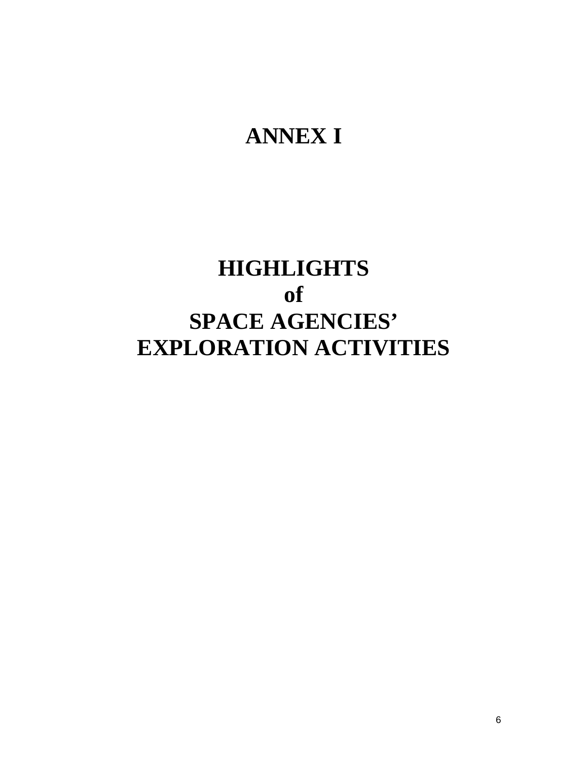# **ANNEX I**

# **HIGHLIGHTS of SPACE AGENCIES' EXPLORATION ACTIVITIES**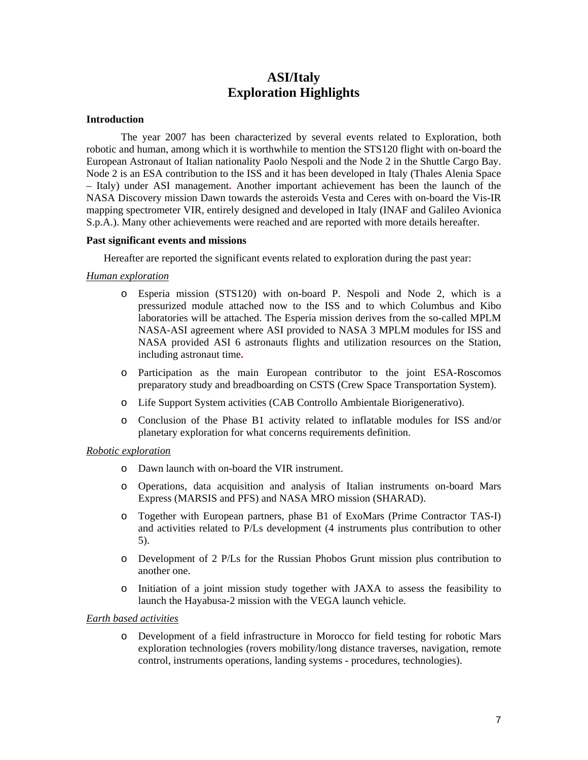# **ASI/Italy Exploration Highlights**

## **Introduction**

The year 2007 has been characterized by several events related to Exploration, both robotic and human, among which it is worthwhile to mention the STS120 flight with on-board the European Astronaut of Italian nationality Paolo Nespoli and the Node 2 in the Shuttle Cargo Bay. Node 2 is an ESA contribution to the ISS and it has been developed in Italy (Thales Alenia Space – Italy) under ASI management**.** Another important achievement has been the launch of the NASA Discovery mission Dawn towards the asteroids Vesta and Ceres with on-board the Vis-IR mapping spectrometer VIR, entirely designed and developed in Italy (INAF and Galileo Avionica S.p.A.). Many other achievements were reached and are reported with more details hereafter.

#### **Past significant events and missions**

Hereafter are reported the significant events related to exploration during the past year:

### *Human exploration*

- o Esperia mission (STS120) with on-board P. Nespoli and Node 2, which is a pressurized module attached now to the ISS and to which Columbus and Kibo laboratories will be attached. The Esperia mission derives from the so-called MPLM NASA-ASI agreement where ASI provided to NASA 3 MPLM modules for ISS and NASA provided ASI 6 astronauts flights and utilization resources on the Station, including astronaut time**.**
- o Participation as the main European contributor to the joint ESA-Roscomos preparatory study and breadboarding on CSTS (Crew Space Transportation System).
- o Life Support System activities (CAB Controllo Ambientale Biorigenerativo).
- o Conclusion of the Phase B1 activity related to inflatable modules for ISS and/or planetary exploration for what concerns requirements definition.

#### *Robotic exploration*

- o Dawn launch with on-board the VIR instrument.
- o Operations, data acquisition and analysis of Italian instruments on-board Mars Express (MARSIS and PFS) and NASA MRO mission (SHARAD).
- o Together with European partners, phase B1 of ExoMars (Prime Contractor TAS-I) and activities related to P/Ls development (4 instruments plus contribution to other 5).
- o Development of 2 P/Ls for the Russian Phobos Grunt mission plus contribution to another one.
- o Initiation of a joint mission study together with JAXA to assess the feasibility to launch the Hayabusa-2 mission with the VEGA launch vehicle.

#### *Earth based activities*

o Development of a field infrastructure in Morocco for field testing for robotic Mars exploration technologies (rovers mobility/long distance traverses, navigation, remote control, instruments operations, landing systems - procedures, technologies).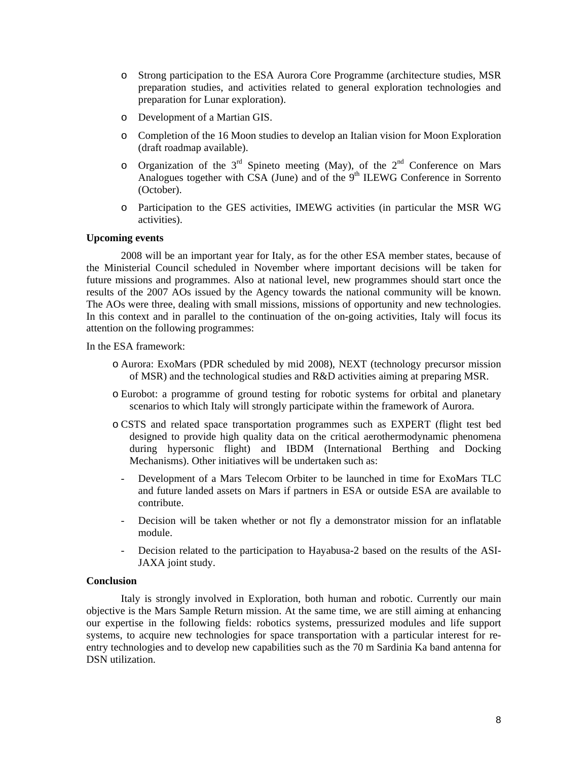- o Strong participation to the ESA Aurora Core Programme (architecture studies, MSR preparation studies, and activities related to general exploration technologies and preparation for Lunar exploration).
- o Development of a Martian GIS.
- o Completion of the 16 Moon studies to develop an Italian vision for Moon Exploration (draft roadmap available).
- o Organization of the  $3<sup>rd</sup>$  Spineto meeting (May), of the  $2<sup>nd</sup>$  Conference on Mars Analogues together with CSA (June) and of the  $9<sup>th</sup>$  ILEWG Conference in Sorrento (October).
- o Participation to the GES activities, IMEWG activities (in particular the MSR WG activities).

## **Upcoming events**

2008 will be an important year for Italy, as for the other ESA member states, because of the Ministerial Council scheduled in November where important decisions will be taken for future missions and programmes. Also at national level, new programmes should start once the results of the 2007 AOs issued by the Agency towards the national community will be known. The AOs were three, dealing with small missions, missions of opportunity and new technologies. In this context and in parallel to the continuation of the on-going activities, Italy will focus its attention on the following programmes:

In the ESA framework:

- o Aurora: ExoMars (PDR scheduled by mid 2008), NEXT (technology precursor mission of MSR) and the technological studies and R&D activities aiming at preparing MSR.
- o Eurobot: a programme of ground testing for robotic systems for orbital and planetary scenarios to which Italy will strongly participate within the framework of Aurora.
- o CSTS and related space transportation programmes such as EXPERT (flight test bed designed to provide high quality data on the critical aerothermodynamic phenomena during hypersonic flight) and IBDM (International Berthing and Docking Mechanisms). Other initiatives will be undertaken such as:
	- Development of a Mars Telecom Orbiter to be launched in time for ExoMars TLC and future landed assets on Mars if partners in ESA or outside ESA are available to contribute.
	- Decision will be taken whether or not fly a demonstrator mission for an inflatable module.
	- Decision related to the participation to Hayabusa-2 based on the results of the ASI-JAXA joint study.

#### **Conclusion**

Italy is strongly involved in Exploration, both human and robotic. Currently our main objective is the Mars Sample Return mission. At the same time, we are still aiming at enhancing our expertise in the following fields: robotics systems, pressurized modules and life support systems, to acquire new technologies for space transportation with a particular interest for reentry technologies and to develop new capabilities such as the 70 m Sardinia Ka band antenna for DSN utilization.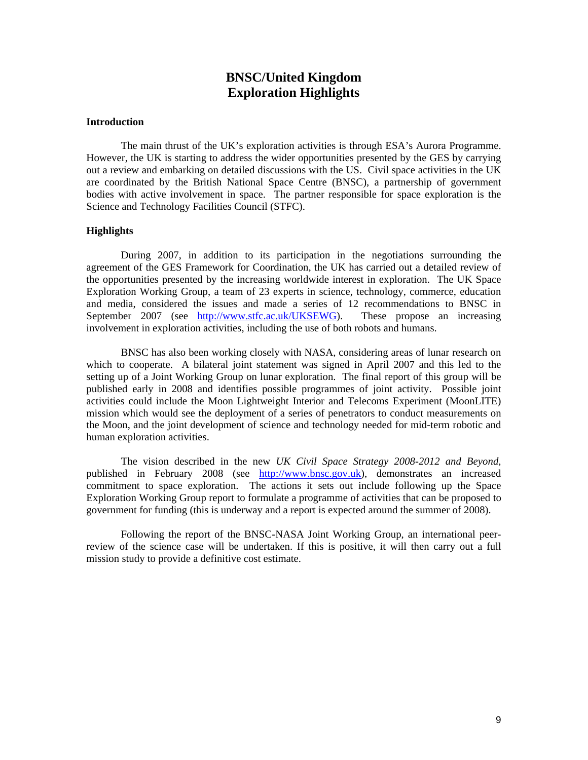# **BNSC/United Kingdom Exploration Highlights**

#### **Introduction**

The main thrust of the UK's exploration activities is through ESA's Aurora Programme. However, the UK is starting to address the wider opportunities presented by the GES by carrying out a review and embarking on detailed discussions with the US. Civil space activities in the UK are coordinated by the British National Space Centre (BNSC), a partnership of government bodies with active involvement in space. The partner responsible for space exploration is the Science and Technology Facilities Council (STFC).

#### **Highlights**

During 2007, in addition to its participation in the negotiations surrounding the agreement of the GES Framework for Coordination, the UK has carried out a detailed review of the opportunities presented by the increasing worldwide interest in exploration. The UK Space Exploration Working Group, a team of 23 experts in science, technology, commerce, education and media, considered the issues and made a series of 12 recommendations to BNSC in September 2007 (see [http://www.stfc.ac.uk/UKSEWG\)](http://www.stfc.ac.uk/UKSEWG). These propose an increasing involvement in exploration activities, including the use of both robots and humans.

BNSC has also been working closely with NASA, considering areas of lunar research on which to cooperate. A bilateral joint statement was signed in April 2007 and this led to the setting up of a Joint Working Group on lunar exploration. The final report of this group will be published early in 2008 and identifies possible programmes of joint activity. Possible joint activities could include the Moon Lightweight Interior and Telecoms Experiment (MoonLITE) mission which would see the deployment of a series of penetrators to conduct measurements on the Moon, and the joint development of science and technology needed for mid-term robotic and human exploration activities.

The vision described in the new *UK Civil Space Strategy 2008-2012 and Beyond*, published in February 2008 (see [http://www.bnsc.gov.uk](http://www.bnsc.gov.uk/)), demonstrates an increased commitment to space exploration. The actions it sets out include following up the Space Exploration Working Group report to formulate a programme of activities that can be proposed to government for funding (this is underway and a report is expected around the summer of 2008).

Following the report of the BNSC-NASA Joint Working Group, an international peerreview of the science case will be undertaken. If this is positive, it will then carry out a full mission study to provide a definitive cost estimate.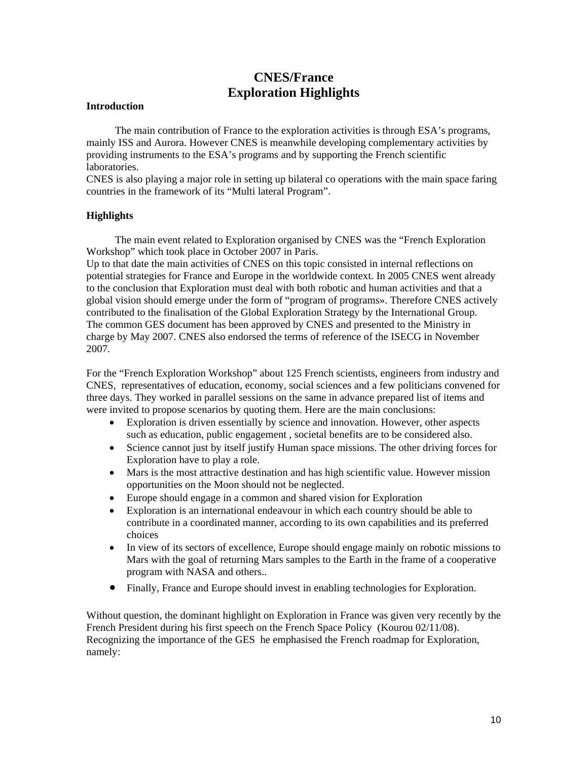# **CNES/France Exploration Highlights**

#### **Introduction**

 The main contribution of France to the exploration activities is through ESA's programs, mainly ISS and Aurora. However CNES is meanwhile developing complementary activities by providing instruments to the ESA's programs and by supporting the French scientific laboratories.

CNES is also playing a major role in setting up bilateral co operations with the main space faring countries in the framework of its "Multi lateral Program".

## **Highlights**

 The main event related to Exploration organised by CNES was the "French Exploration Workshop" which took place in October 2007 in Paris.

Up to that date the main activities of CNES on this topic consisted in internal reflections on potential strategies for France and Europe in the worldwide context. In 2005 CNES went already to the conclusion that Exploration must deal with both robotic and human activities and that a global vision should emerge under the form of "program of programs». Therefore CNES actively contributed to the finalisation of the Global Exploration Strategy by the International Group. The common GES document has been approved by CNES and presented to the Ministry in charge by May 2007. CNES also endorsed the terms of reference of the ISECG in November 2007.

For the "French Exploration Workshop" about 125 French scientists, engineers from industry and CNES, representatives of education, economy, social sciences and a few politicians convened for three days. They worked in parallel sessions on the same in advance prepared list of items and were invited to propose scenarios by quoting them. Here are the main conclusions:

- Exploration is driven essentially by science and innovation. However, other aspects such as education, public engagement , societal benefits are to be considered also.
- Science cannot just by itself justify Human space missions. The other driving forces for Exploration have to play a role.
- Mars is the most attractive destination and has high scientific value. However mission opportunities on the Moon should not be neglected.
- Europe should engage in a common and shared vision for Exploration
- Exploration is an international endeavour in which each country should be able to contribute in a coordinated manner, according to its own capabilities and its preferred choices
- In view of its sectors of excellence, Europe should engage mainly on robotic missions to Mars with the goal of returning Mars samples to the Earth in the frame of a cooperative program with NASA and others..
- Finally, France and Europe should invest in enabling technologies for Exploration.

Without question, the dominant highlight on Exploration in France was given very recently by the French President during his first speech on the French Space Policy (Kourou 02/11/08). Recognizing the importance of the GES he emphasised the French roadmap for Exploration, namely: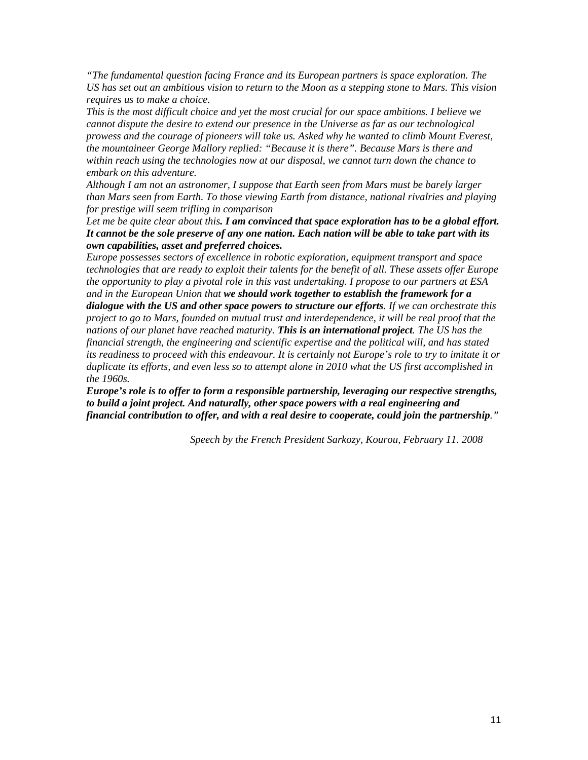*"The fundamental question facing France and its European partners is space exploration. The US has set out an ambitious vision to return to the Moon as a stepping stone to Mars. This vision requires us to make a choice.* 

*This is the most difficult choice and yet the most crucial for our space ambitions. I believe we cannot dispute the desire to extend our presence in the Universe as far as our technological prowess and the courage of pioneers will take us. Asked why he wanted to climb Mount Everest, the mountaineer George Mallory replied: "Because it is there". Because Mars is there and within reach using the technologies now at our disposal, we cannot turn down the chance to embark on this adventure.* 

*Although I am not an astronomer, I suppose that Earth seen from Mars must be barely larger than Mars seen from Earth. To those viewing Earth from distance, national rivalries and playing for prestige will seem trifling in comparison* 

*Let me be quite clear about this. I am convinced that space exploration has to be a global effort. It cannot be the sole preserve of any one nation. Each nation will be able to take part with its own capabilities, asset and preferred choices.* 

*Europe possesses sectors of excellence in robotic exploration, equipment transport and space technologies that are ready to exploit their talents for the benefit of all. These assets offer Europe the opportunity to play a pivotal role in this vast undertaking. I propose to our partners at ESA and in the European Union that we should work together to establish the framework for a dialogue with the US and other space powers to structure our efforts. If we can orchestrate this project to go to Mars, founded on mutual trust and interdependence, it will be real proof that the nations of our planet have reached maturity. This is an international project. The US has the financial strength, the engineering and scientific expertise and the political will, and has stated its readiness to proceed with this endeavour. It is certainly not Europe's role to try to imitate it or duplicate its efforts, and even less so to attempt alone in 2010 what the US first accomplished in the 1960s.* 

*Europe's role is to offer to form a responsible partnership, leveraging our respective strengths, to build a joint project. And naturally, other space powers with a real engineering and financial contribution to offer, and with a real desire to cooperate, could join the partnership."* 

 *Speech by the French President Sarkozy, Kourou, February 11. 2008*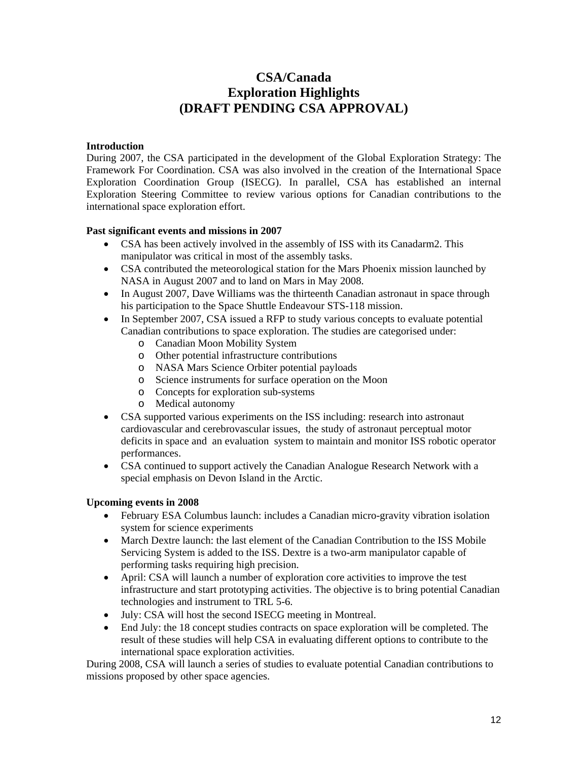# **CSA/Canada Exploration Highlights (DRAFT PENDING CSA APPROVAL)**

## **Introduction**

During 2007, the CSA participated in the development of the Global Exploration Strategy: The Framework For Coordination. CSA was also involved in the creation of the International Space Exploration Coordination Group (ISECG). In parallel, CSA has established an internal Exploration Steering Committee to review various options for Canadian contributions to the international space exploration effort.

## **Past significant events and missions in 2007**

- CSA has been actively involved in the assembly of ISS with its Canadarm2. This manipulator was critical in most of the assembly tasks.
- CSA contributed the meteorological station for the Mars Phoenix mission launched by NASA in August 2007 and to land on Mars in May 2008.
- In August 2007, Dave Williams was the thirteenth Canadian astronaut in space through his participation to the Space Shuttle Endeavour STS-118 mission.
- In September 2007, CSA issued a RFP to study various concepts to evaluate potential Canadian contributions to space exploration. The studies are categorised under:
	- o Canadian Moon Mobility System
	- o Other potential infrastructure contributions
	- o NASA Mars Science Orbiter potential payloads
	- o Science instruments for surface operation on the Moon
	- o Concepts for exploration sub-systems
	- o Medical autonomy
- CSA supported various experiments on the ISS including: research into astronaut cardiovascular and cerebrovascular issues, the study of astronaut perceptual motor deficits in space and an evaluation system to maintain and monitor ISS robotic operator performances.
- CSA continued to support actively the Canadian Analogue Research Network with a special emphasis on Devon Island in the Arctic.

## **Upcoming events in 2008**

- February ESA Columbus launch: includes a Canadian micro-gravity vibration isolation system for science experiments
- March Dextre launch: the last element of the Canadian Contribution to the ISS Mobile Servicing System is added to the ISS. Dextre is a two-arm manipulator capable of performing tasks requiring high precision.
- April: CSA will launch a number of exploration core activities to improve the test infrastructure and start prototyping activities. The objective is to bring potential Canadian technologies and instrument to TRL 5-6.
- July: CSA will host the second ISECG meeting in Montreal.
- End July: the 18 concept studies contracts on space exploration will be completed. The result of these studies will help CSA in evaluating different options to contribute to the international space exploration activities.

During 2008, CSA will launch a series of studies to evaluate potential Canadian contributions to missions proposed by other space agencies.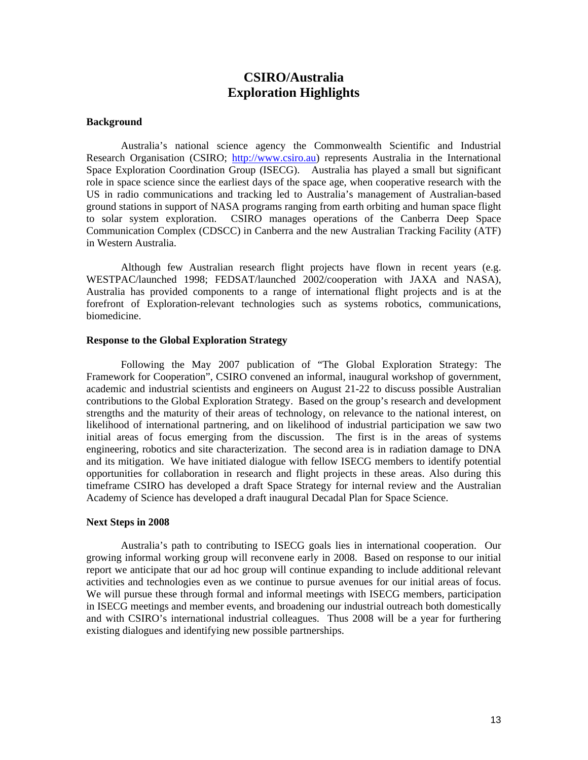# **CSIRO/Australia Exploration Highlights**

#### **Background**

Australia's national science agency the Commonwealth Scientific and Industrial Research Organisation (CSIRO; [http://www.csiro.au](http://www.csiro.au/)) represents Australia in the International Space Exploration Coordination Group (ISECG). Australia has played a small but significant role in space science since the earliest days of the space age, when cooperative research with the US in radio communications and tracking led to Australia's management of Australian-based ground stations in support of NASA programs ranging from earth orbiting and human space flight to solar system exploration. CSIRO manages operations of the Canberra Deep Space Communication Complex (CDSCC) in Canberra and the new Australian Tracking Facility (ATF) in Western Australia.

Although few Australian research flight projects have flown in recent years (e.g. WESTPAC/launched 1998; FEDSAT/launched 2002/cooperation with JAXA and NASA), Australia has provided components to a range of international flight projects and is at the forefront of Exploration-relevant technologies such as systems robotics, communications, biomedicine.

#### **Response to the Global Exploration Strategy**

Following the May 2007 publication of "The Global Exploration Strategy: The Framework for Cooperation", CSIRO convened an informal, inaugural workshop of government, academic and industrial scientists and engineers on August 21-22 to discuss possible Australian contributions to the Global Exploration Strategy. Based on the group's research and development strengths and the maturity of their areas of technology, on relevance to the national interest, on likelihood of international partnering, and on likelihood of industrial participation we saw two initial areas of focus emerging from the discussion. The first is in the areas of systems engineering, robotics and site characterization. The second area is in radiation damage to DNA and its mitigation. We have initiated dialogue with fellow ISECG members to identify potential opportunities for collaboration in research and flight projects in these areas. Also during this timeframe CSIRO has developed a draft Space Strategy for internal review and the Australian Academy of Science has developed a draft inaugural Decadal Plan for Space Science.

#### **Next Steps in 2008**

Australia's path to contributing to ISECG goals lies in international cooperation. Our growing informal working group will reconvene early in 2008. Based on response to our initial report we anticipate that our ad hoc group will continue expanding to include additional relevant activities and technologies even as we continue to pursue avenues for our initial areas of focus. We will pursue these through formal and informal meetings with ISECG members, participation in ISECG meetings and member events, and broadening our industrial outreach both domestically and with CSIRO's international industrial colleagues. Thus 2008 will be a year for furthering existing dialogues and identifying new possible partnerships.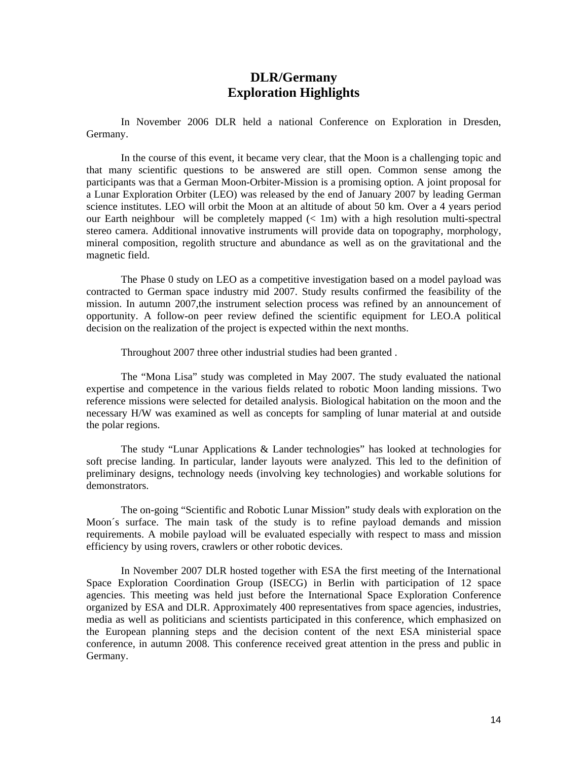# **DLR/Germany Exploration Highlights**

In November 2006 DLR held a national Conference on Exploration in Dresden, Germany.

In the course of this event, it became very clear, that the Moon is a challenging topic and that many scientific questions to be answered are still open. Common sense among the participants was that a German Moon-Orbiter-Mission is a promising option. A joint proposal for a Lunar Exploration Orbiter (LEO) was released by the end of January 2007 by leading German science institutes. LEO will orbit the Moon at an altitude of about 50 km. Over a 4 years period our Earth neighbour will be completely mapped  $(< 1m)$  with a high resolution multi-spectral stereo camera. Additional innovative instruments will provide data on topography, morphology, mineral composition, regolith structure and abundance as well as on the gravitational and the magnetic field.

The Phase 0 study on LEO as a competitive investigation based on a model payload was contracted to German space industry mid 2007. Study results confirmed the feasibility of the mission. In autumn 2007,the instrument selection process was refined by an announcement of opportunity. A follow-on peer review defined the scientific equipment for LEO.A political decision on the realization of the project is expected within the next months.

Throughout 2007 three other industrial studies had been granted .

The "Mona Lisa" study was completed in May 2007. The study evaluated the national expertise and competence in the various fields related to robotic Moon landing missions. Two reference missions were selected for detailed analysis. Biological habitation on the moon and the necessary H/W was examined as well as concepts for sampling of lunar material at and outside the polar regions.

The study "Lunar Applications & Lander technologies" has looked at technologies for soft precise landing. In particular, lander layouts were analyzed. This led to the definition of preliminary designs, technology needs (involving key technologies) and workable solutions for demonstrators.

The on-going "Scientific and Robotic Lunar Mission" study deals with exploration on the Moon´s surface. The main task of the study is to refine payload demands and mission requirements. A mobile payload will be evaluated especially with respect to mass and mission efficiency by using rovers, crawlers or other robotic devices.

In November 2007 DLR hosted together with ESA the first meeting of the International Space Exploration Coordination Group (ISECG) in Berlin with participation of 12 space agencies. This meeting was held just before the International Space Exploration Conference organized by ESA and DLR. Approximately 400 representatives from space agencies, industries, media as well as politicians and scientists participated in this conference, which emphasized on the European planning steps and the decision content of the next ESA ministerial space conference, in autumn 2008. This conference received great attention in the press and public in Germany.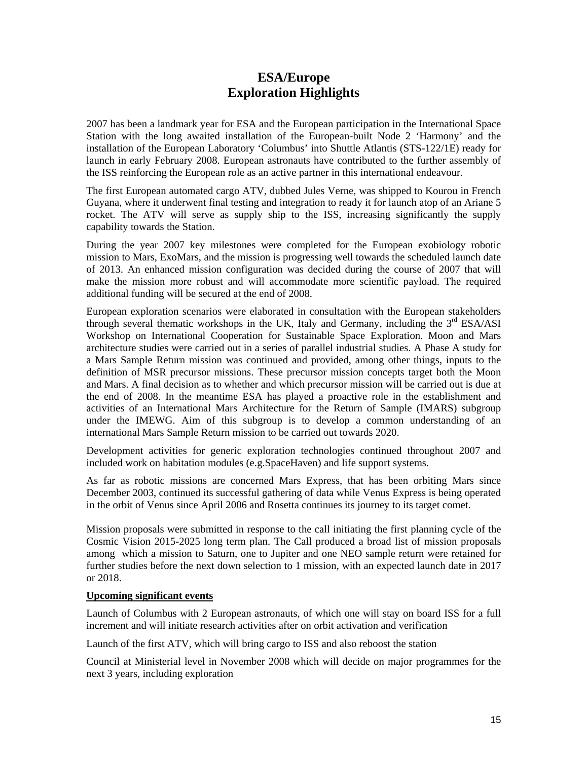# **ESA/Europe Exploration Highlights**

2007 has been a landmark year for ESA and the European participation in the International Space Station with the long awaited installation of the European-built Node 2 'Harmony' and the installation of the European Laboratory 'Columbus' into Shuttle Atlantis (STS-122/1E) ready for launch in early February 2008. European astronauts have contributed to the further assembly of the ISS reinforcing the European role as an active partner in this international endeavour.

The first European automated cargo ATV, dubbed Jules Verne, was shipped to Kourou in French Guyana, where it underwent final testing and integration to ready it for launch atop of an Ariane 5 rocket. The ATV will serve as supply ship to the ISS, increasing significantly the supply capability towards the Station.

During the year 2007 key milestones were completed for the European exobiology robotic mission to Mars, ExoMars, and the mission is progressing well towards the scheduled launch date of 2013. An enhanced mission configuration was decided during the course of 2007 that will make the mission more robust and will accommodate more scientific payload. The required additional funding will be secured at the end of 2008.

European exploration scenarios were elaborated in consultation with the European stakeholders through several thematic workshops in the UK, Italy and Germany, including the  $3<sup>rd</sup> ESA/ASI$ Workshop on International Cooperation for Sustainable Space Exploration. Moon and Mars architecture studies were carried out in a series of parallel industrial studies. A Phase A study for a Mars Sample Return mission was continued and provided, among other things, inputs to the definition of MSR precursor missions. These precursor mission concepts target both the Moon and Mars. A final decision as to whether and which precursor mission will be carried out is due at the end of 2008. In the meantime ESA has played a proactive role in the establishment and activities of an International Mars Architecture for the Return of Sample (IMARS) subgroup under the IMEWG. Aim of this subgroup is to develop a common understanding of an international Mars Sample Return mission to be carried out towards 2020.

Development activities for generic exploration technologies continued throughout 2007 and included work on habitation modules (e.g.SpaceHaven) and life support systems.

As far as robotic missions are concerned Mars Express, that has been orbiting Mars since December 2003, continued its successful gathering of data while Venus Express is being operated in the orbit of Venus since April 2006 and Rosetta continues its journey to its target comet.

Mission proposals were submitted in response to the call initiating the first planning cycle of the Cosmic Vision 2015-2025 long term plan. The Call produced a broad list of mission proposals among which a mission to Saturn, one to Jupiter and one NEO sample return were retained for further studies before the next down selection to 1 mission, with an expected launch date in 2017 or 2018.

## **Upcoming significant events**

Launch of Columbus with 2 European astronauts, of which one will stay on board ISS for a full increment and will initiate research activities after on orbit activation and verification

Launch of the first ATV, which will bring cargo to ISS and also reboost the station

Council at Ministerial level in November 2008 which will decide on major programmes for the next 3 years, including exploration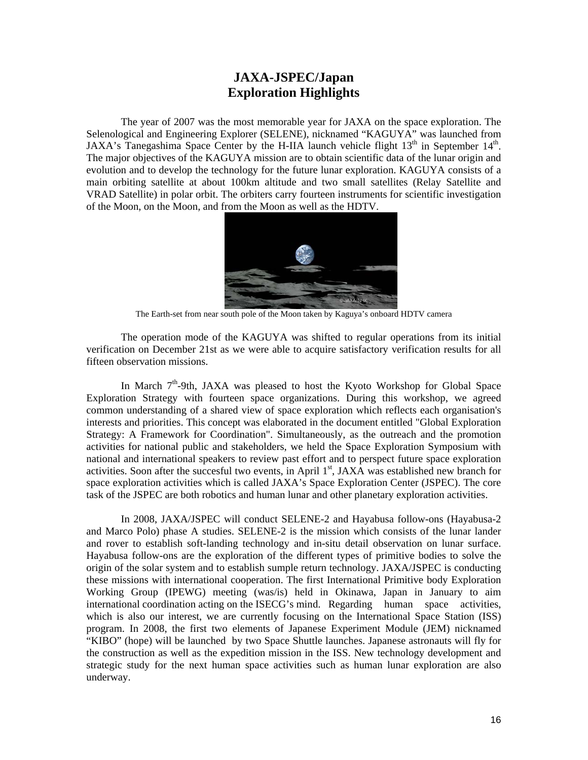# **JAXA-JSPEC/Japan Exploration Highlights**

The year of 2007 was the most memorable year for JAXA on the space exploration. The Selenological and Engineering Explorer (SELENE), nicknamed "KAGUYA" was launched from JAXA's Tanegashima Space Center by the H-IIA launch vehicle flight  $13<sup>th</sup>$  in September  $14<sup>th</sup>$ . The major objectives of the KAGUYA mission are to obtain scientific data of the lunar origin and evolution and to develop the technology for the future lunar exploration. KAGUYA consists of a main orbiting satellite at about 100km altitude and two small satellites (Relay Satellite and VRAD Satellite) in polar orbit. The orbiters carry fourteen instruments for scientific investigation of the Moon, on the Moon, and from the Moon as well as the HDTV.



The Earth-set from near south pole of the Moon taken by Kaguya's onboard HDTV camera

The operation mode of the KAGUYA was shifted to regular operations from its initial verification on December 21st as we were able to acquire satisfactory verification results for all fifteen observation missions.

In March 7<sup>th</sup>-9th, JAXA was pleased to host the Kyoto Workshop for Global Space Exploration Strategy with fourteen space organizations. During this workshop, we agreed common understanding of a shared view of space exploration which reflects each organisation's interests and priorities. This concept was elaborated in the document entitled "Global Exploration Strategy: A Framework for Coordination". Simultaneously, as the outreach and the promotion activities for national public and stakeholders, we held the Space Exploration Symposium with national and international speakers to review past effort and to perspect future space exploration activities. Soon after the succesful two events, in April 1<sup>st</sup>, JAXA was established new branch for space exploration activities which is called JAXA's Space Exploration Center (JSPEC). The core task of the JSPEC are both robotics and human lunar and other planetary exploration activities.

In 2008, JAXA/JSPEC will conduct SELENE-2 and Hayabusa follow-ons (Hayabusa-2 and Marco Polo) phase A studies. SELENE-2 is the mission which consists of the lunar lander and rover to establish soft-landing technology and in-situ detail observation on lunar surface. Hayabusa follow-ons are the exploration of the different types of primitive bodies to solve the origin of the solar system and to establish sumple return technology. JAXA/JSPEC is conducting these missions with international cooperation. The first International Primitive body Exploration Working Group (IPEWG) meeting (was/is) held in Okinawa, Japan in January to aim international coordination acting on the ISECG's mind. Regarding human space activities, which is also our interest, we are currently focusing on the International Space Station (ISS) program. In 2008, the first two elements of Japanese Experiment Module (JEM) nicknamed "KIBO" (hope) will be launched by two Space Shuttle launches. Japanese astronauts will fly for the construction as well as the expedition mission in the ISS. New technology development and strategic study for the next human space activities such as human lunar exploration are also underway.